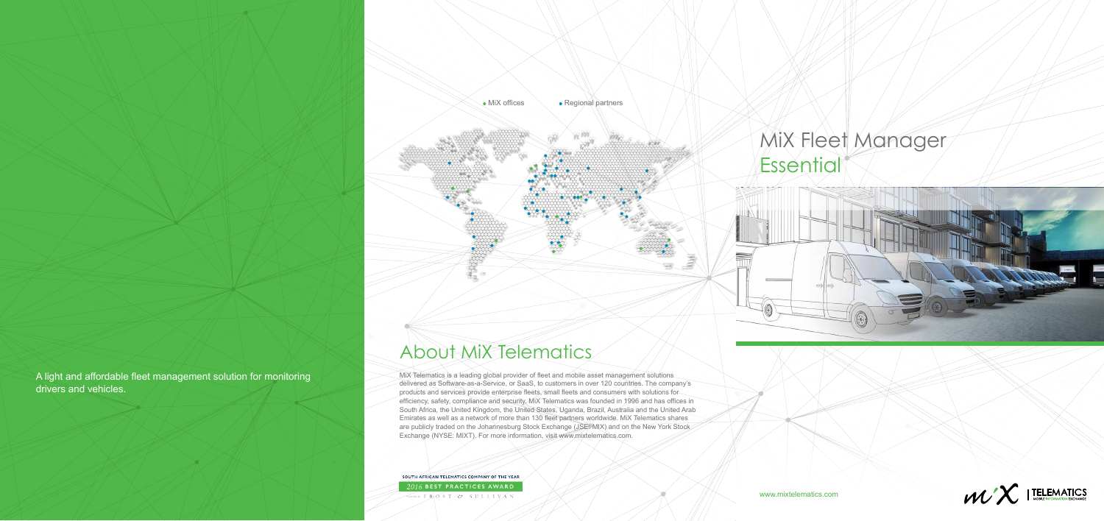A light and affordable fleet management solution for monitoring drivers and vehicles.

## About MiX Telematics

# MiX Fleet Manager **Essential**





MiX Telematics is a leading global provider of fleet and mobile asset management solutions delivered as Software-as-a-Service, or SaaS, to customers in over 120 countries. The company's products and services provide enterprise fleets, small fleets and consumers with solutions for efficiency, safety, compliance and security. MiX Telematics was founded in 1996 and has offices in South Africa, the United Kingdom, the United States, Uganda, Brazil, Australia and the United Arab Emirates as well as a network of more than 130 fleet partners worldwide. MiX Telematics shares are publicly traded on the Johannesburg Stock Exchange (JSE: MIX) and on the New York Stock Exchange (NYSE: MIXT). For more information, visit www.mixtelematics.com.

SOUTH AFRICAN TELEMATICS COMPANY OF THE YEAR 2016 BEST PRACTICES AWARD Awarded by FROST & SULLIVAN